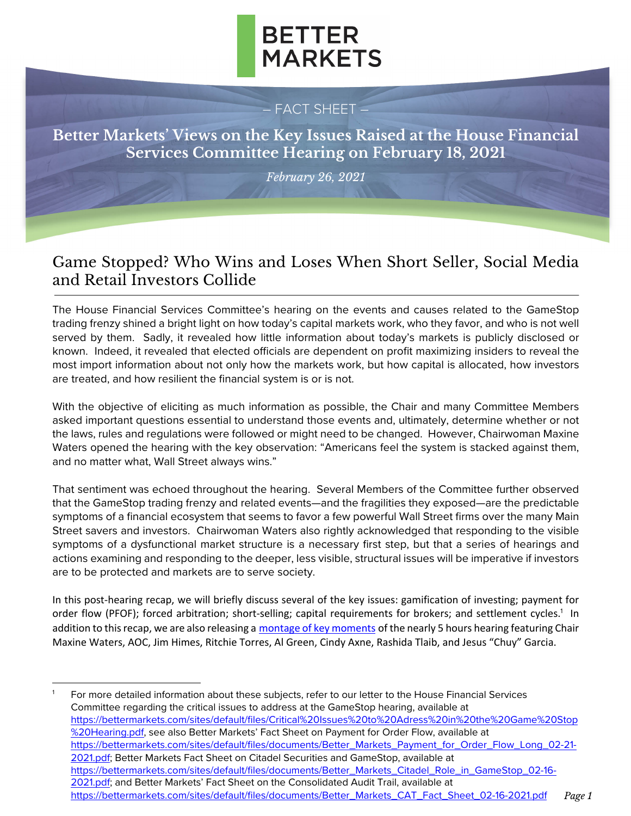

#### – FACT SHEET –

**Better Markets' Views on the Key Issues Raised at the House Financial Services Committee Hearing on February 18, 2021**

*February 26, 2021*

### Game Stopped? Who Wins and Loses When Short Seller, Social Media and Retail Investors Collide

The House Financial Services Committee's hearing on the events and causes related to the GameStop trading frenzy shined a bright light on how today's capital markets work, who they favor, and who is not well served by them. Sadly, it revealed how little information about today's markets is publicly disclosed or known. Indeed, it revealed that elected officials are dependent on profit maximizing insiders to reveal the most import information about not only how the markets work, but how capital is allocated, how investors are treated, and how resilient the financial system is or is not.

With the objective of eliciting as much information as possible, the Chair and many Committee Members asked important questions essential to understand those events and, ultimately, determine whether or not the laws, rules and regulations were followed or might need to be changed. However, Chairwoman Maxine Waters opened the hearing with the key observation: "Americans feel the system is stacked against them, and no matter what, Wall Street always wins."

That sentiment was echoed throughout the hearing. Several Members of the Committee further observed that the GameStop trading frenzy and related events—and the fragilities they exposed—are the predictable symptoms of a financial ecosystem that seems to favor a few powerful Wall Street firms over the many Main Street savers and investors. Chairwoman Waters also rightly acknowledged that responding to the visible symptoms of a dysfunctional market structure is a necessary first step, but that a series of hearings and actions examining and responding to the deeper, less visible, structural issues will be imperative if investors are to be protected and markets are to serve society.

In this post-hearing recap, we will briefly discuss several of the key issues: gamification of investing; payment for order flow (PFOF); forced arbitration; short-selling; capital requirements for brokers; and settlement cycles.<sup>1</sup> In addition to this recap, we are also releasing a [montage of key moments](https://www.youtube.com/watch?v=D0eME9vI1xg&ab) of the nearly 5 hours hearing featuring Chair Maxine Waters, AOC, Jim Himes, Ritchie Torres, Al Green, Cindy Axne, Rashida Tlaib, and Jesus "Chuy" Garcia.

For more detailed information about these subjects, refer to our letter to the House Financial Services Committee regarding the critical issues to address at the GameStop hearing, available at [https://bettermarkets.com/sites/default/files/Critical%20Issues%20to%20Adress%20in%20the%20Game%20Stop](https://bettermarkets.com/sites/default/files/Critical%20Issues%20to%20Adress%20in%20the%20Game%20Stop%20Hearing.pdf) %20Hearing.pdf, see also Better Markets' Fact Sheet on Payment for Order Flow, available at [https://bettermarkets.com/sites/default/files/documents/Better\\_Markets\\_Payment\\_for\\_Order\\_Flow\\_Long\\_02-21-](https://bettermarkets.com/sites/default/files/documents/Better_Markets_Payment_for_Order_Flow_Long_02-21-2021.pdf) [2021.pdf;](https://bettermarkets.com/sites/default/files/documents/Better_Markets_Payment_for_Order_Flow_Long_02-21-2021.pdf) Better Markets Fact Sheet on Citadel Securities and GameStop, available at [https://bettermarkets.com/sites/default/files/documents/Better\\_Markets\\_Citadel\\_Role\\_in\\_GameStop\\_02-16-](https://bettermarkets.com/sites/default/files/documents/Better_Markets_Citadel_Role_in_GameStop_02-16-2021.pdf) 2021.pdf; and Better Markets' Fact Sheet on the Consolidated Audit Trail, available at [https://bettermarkets.com/sites/default/files/documents/Better\\_Markets\\_CAT\\_Fact\\_Sheet\\_02-16-2021.pdf](https://bettermarkets.com/sites/default/files/documents/Better_Markets_CAT_Fact_Sheet_02-16-2021.pdf) *Page 1*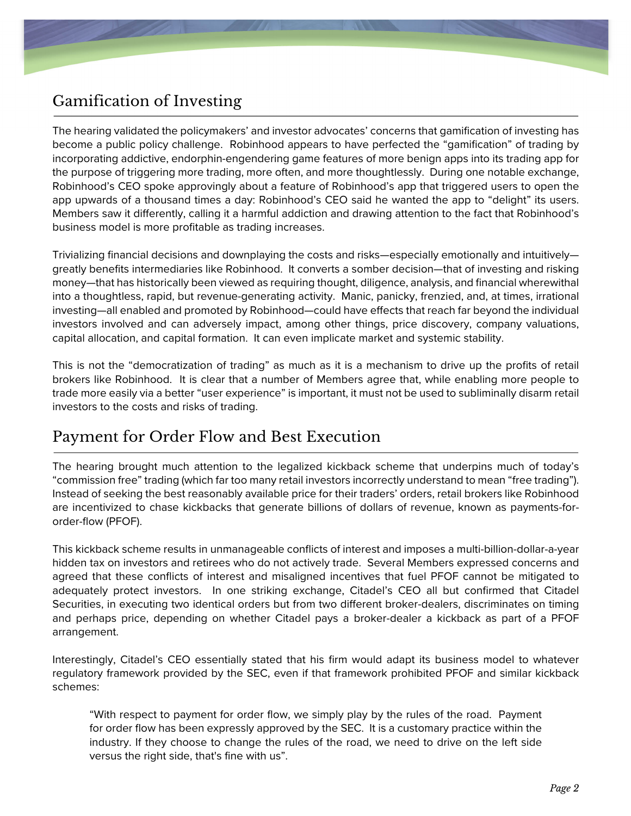# Gamification of Investing

The hearing validated the policymakers' and investor advocates' concerns that gamification of investing has become a public policy challenge. Robinhood appears to have perfected the "gamification" of trading by incorporating addictive, endorphin-engendering game features of more benign apps into its trading app for the purpose of triggering more trading, more often, and more thoughtlessly. During one notable exchange, Robinhood's CEO spoke approvingly about a feature of Robinhood's app that triggered users to open the app upwards of a thousand times a day: Robinhood's CEO said he wanted the app to "delight" its users. Members saw it differently, calling it a harmful addiction and drawing attention to the fact that Robinhood's business model is more profitable as trading increases.

Trivializing financial decisions and downplaying the costs and risks—especially emotionally and intuitively greatly benefits intermediaries like Robinhood. It converts a somber decision—that of investing and risking money—that has historically been viewed as requiring thought, diligence, analysis, and financial wherewithal into a thoughtless, rapid, but revenue-generating activity. Manic, panicky, frenzied, and, at times, irrational investing—all enabled and promoted by Robinhood—could have effects that reach far beyond the individual investors involved and can adversely impact, among other things, price discovery, company valuations, capital allocation, and capital formation. It can even implicate market and systemic stability.

This is not the "democratization of trading" as much as it is a mechanism to drive up the profits of retail brokers like Robinhood. It is clear that a number of Members agree that, while enabling more people to trade more easily via a better "user experience" is important, it must not be used to subliminally disarm retail investors to the costs and risks of trading.

### Payment for Order Flow and Best Execution

The hearing brought much attention to the legalized kickback scheme that underpins much of today's "commission free" trading (which far too many retail investors incorrectly understand to mean "free trading"). Instead of seeking the best reasonably available price for their traders' orders, retail brokers like Robinhood are incentivized to chase kickbacks that generate billions of dollars of revenue, known as payments-fororder-flow (PFOF).

This kickback scheme results in unmanageable conflicts of interest and imposes a multi-billion-dollar-a-year hidden tax on investors and retirees who do not actively trade. Several Members expressed concerns and agreed that these conflicts of interest and misaligned incentives that fuel PFOF cannot be mitigated to adequately protect investors. In one striking exchange, Citadel's CEO all but confirmed that Citadel Securities, in executing two identical orders but from two different broker-dealers, discriminates on timing and perhaps price, depending on whether Citadel pays a broker-dealer a kickback as part of a PFOF arrangement.

Interestingly, Citadel's CEO essentially stated that his firm would adapt its business model to whatever regulatory framework provided by the SEC, even if that framework prohibited PFOF and similar kickback schemes:

"With respect to payment for order flow, we simply play by the rules of the road. Payment for order flow has been expressly approved by the SEC. It is a customary practice within the industry. If they choose to change the rules of the road, we need to drive on the left side versus the right side, that's fine with us".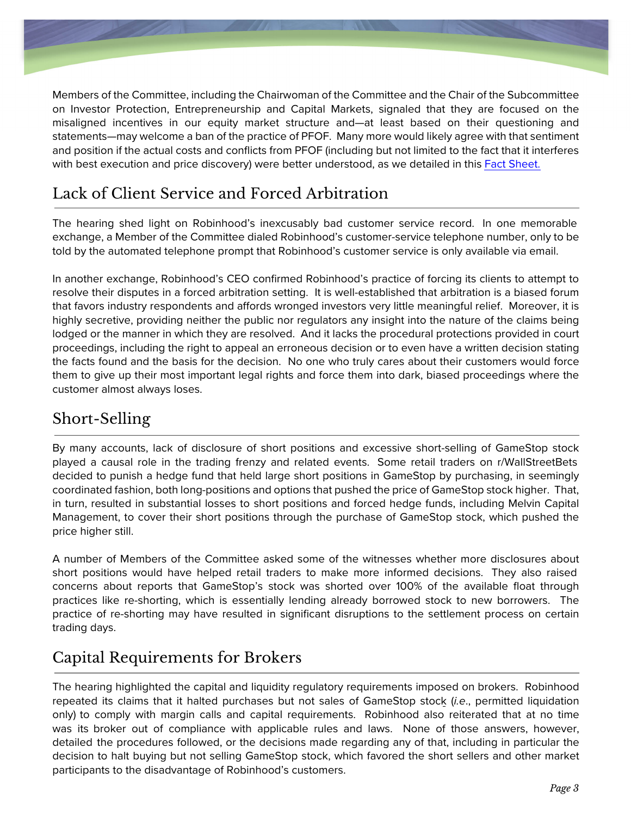

Members of the Committee, including the Chairwoman of the Committee and the Chair of the Subcommittee on Investor Protection, Entrepreneurship and Capital Markets, signaled that they are focused on the misaligned incentives in our equity market structure and—at least based on their questioning and statements—may welcome a ban of the practice of PFOF. Many more would likely agree with that sentiment and position if the actual costs and conflicts from PFOF (including but not limited to the fact that it interferes with best execution and price discovery) were better understood, as we detailed in this Fact [Sheet.](https://bettermarkets.com/sites/default/files/documents/Better_Markets_Payment_for_Order_Flow_Long_02-21-2021.pdf) 

### Lack of Client Service and Forced Arbitration

The hearing shed light on Robinhood's inexcusably bad customer service record. In one memorable exchange, a Member of the Committee dialed Robinhood's customer-service telephone number, only to be told by the automated telephone prompt that Robinhood's customer service is only available via email.

In another exchange, Robinhood's CEO confirmed Robinhood's practice of forcing its clients to attempt to resolve their disputes in a forced arbitration setting. It is well-established that arbitration is a biased forum that favors industry respondents and affords wronged investors very little meaningful relief. Moreover, it is highly secretive, providing neither the public nor regulators any insight into the nature of the claims being lodged or the manner in which they are resolved. And it lacks the procedural protections provided in court proceedings, including the right to appeal an erroneous decision or to even have a written decision stating the facts found and the basis for the decision. No one who truly cares about their customers would force them to give up their most important legal rights and force them into dark, biased proceedings where the customer almost always loses.

# Short-Selling

By many accounts, lack of disclosure of short positions and excessive short-selling of GameStop stock played a causal role in the trading frenzy and related events. Some retail traders on r/WallStreetBets decided to punish a hedge fund that held large short positions in GameStop by purchasing, in seemingly coordinated fashion, both long-positions and options that pushed the price of GameStop stock higher. That, in turn, resulted in substantial losses to short positions and forced hedge funds, including Melvin Capital Management, to cover their short positions through the purchase of GameStop stock, which pushed the price higher still.

A number of Members of the Committee asked some of the witnesses whether more disclosures about short positions would have helped retail traders to make more informed decisions. They also raised concerns about reports that GameStop's stock was shorted over 100% of the available float through practices like re-shorting, which is essentially lending already borrowed stock to new borrowers. The practice of re-shorting may have resulted in significant disruptions to the settlement process on certain trading days.

# Capital Requirements for Brokers

The hearing highlighted the capital and liquidity regulatory requirements imposed on brokers. Robinhood repeated its claims that it halted purchases but not sales of GameStop stock (*i.e*., permitted liquidation only) to comply with margin calls and capital requirements. Robinhood also reiterated that at no time was its broker out of compliance with applicable rules and laws. None of those answers, however, detailed the procedures followed, or the decisions made regarding any of that, including in particular the decision to halt buying but not selling GameStop stock, which favored the short sellers and other market participants to the disadvantage of Robinhood's customers.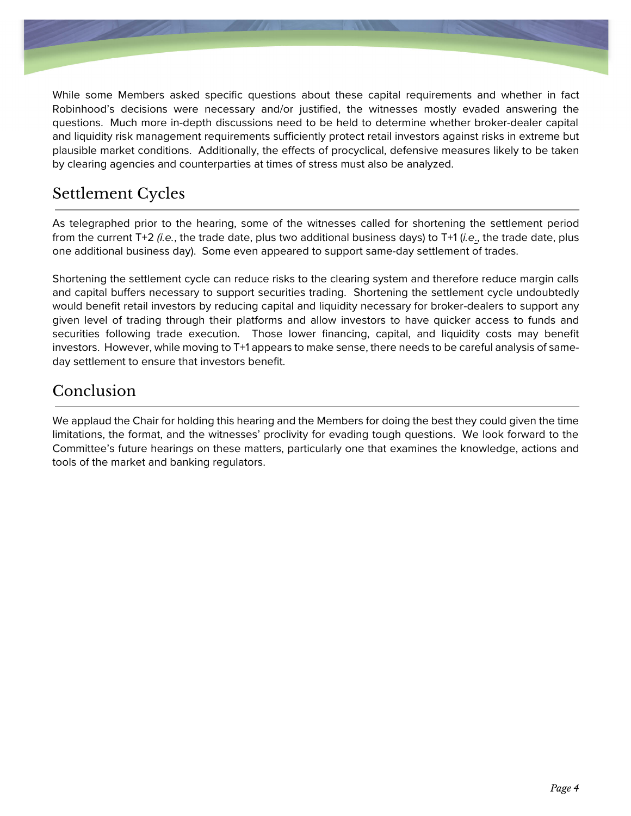

While some Members asked specific questions about these capital requirements and whether in fact Robinhood's decisions were necessary and/or justified, the witnesses mostly evaded answering the questions. Much more in-depth discussions need to be held to determine whether broker-dealer capital and liquidity risk management requirements sufficiently protect retail investors against risks in extreme but plausible market conditions. Additionally, the effects of procyclical, defensive measures likely to be taken by clearing agencies and counterparties at times of stress must also be analyzed.

# Settlement Cycles

As telegraphed prior to the hearing, some of the witnesses called for shortening the settlement period from the current T+2 (i.e., the trade date, plus two additional business days) to T+1 (*i.e*., the trade date, plus one additional business day). Some even appeared to support same-day settlement of trades.

Shortening the settlement cycle can reduce risks to the clearing system and therefore reduce margin calls and capital buffers necessary to support securities trading. Shortening the settlement cycle undoubtedly would benefit retail investors by reducing capital and liquidity necessary for broker-dealers to support any given level of trading through their platforms and allow investors to have quicker access to funds and securities following trade execution. Those lower financing, capital, and liquidity costs may benefit investors. However, while moving to T+1 appears to make sense, there needs to be careful analysis of sameday settlement to ensure that investors benefit.

### Conclusion

We applaud the Chair for holding this hearing and the Members for doing the best they could given the time limitations, the format, and the witnesses' proclivity for evading tough questions. We look forward to the Committee's future hearings on these matters, particularly one that examines the knowledge, actions and tools of the market and banking regulators.